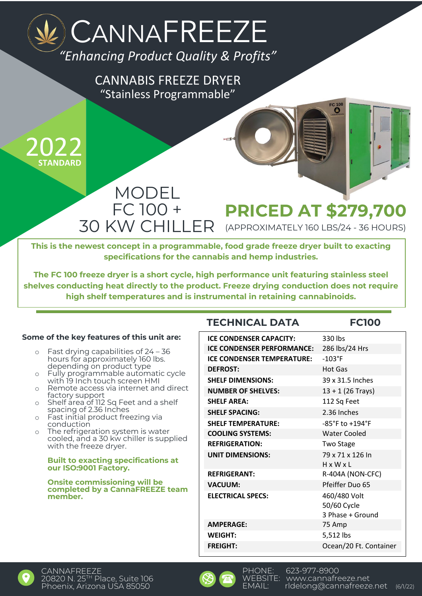# *"Enhancing Product Quality & Profits"* CANNAFREEZE

"Stainless Programmable" CANNABIS FREEZE DRYER



### MODEL FC 100 + 30 KW CHILLER **PRICED AT \$279,700** (APPROXIMATELY 160 LBS/24 - 36 HOURS)

**This is the newest concept in a programmable, food grade freeze dryer built to exacting specifications for the cannabis and hemp industries.**

**The FC 100 freeze dryer is a short cycle, high performance unit featuring stainless steel shelves conducting heat directly to the product. Freeze drying conduction does not require high shelf temperatures and is instrumental in retaining cannabinoids.**

### **Some of the key features of this unit are:**

- o Fast drying capabilities of 24 36 hours for approximately 160 lbs. depending on product type
- o Fully programmable automatic cycle with 19 Inch touch screen HMI
- o Remote access via internet and direct factory support
- o Shelf area of 112 Sq Feet and a shelf spacing of 2.36 Inches
- o Fast initial product freezing via conduction
- o The refrigeration system is water cooled, and a 30 kw chiller is supplied with the freeze dryer.

#### **Built to exacting specifications at our ISO:9001 Factory.**

#### **Onsite commissioning will be completed by a CannaFREEZE team member.**

### **TECHNICAL DATA FC100**

FC 100

| <b>ICE CONDENSER CAPACITY:</b>    | 330 lbs                |
|-----------------------------------|------------------------|
| <b>ICE CONDENSER PERFORMANCE:</b> | 286 lbs/24 Hrs         |
| <b>ICE CONDENSER TEMPERATURE:</b> | $-103$ °F              |
| <b>DEFROST:</b>                   | <b>Hot Gas</b>         |
| <b>SHELF DIMENSIONS:</b>          | 39 x 31.5 Inches       |
| <b>NUMBER OF SHELVES:</b>         | $13 + 1$ (26 Trays)    |
| <b>SHELF AREA:</b>                | 112 Sq Feet            |
| <b>SHELF SPACING:</b>             | 2.36 Inches            |
| <b>SHELF TEMPERATURE:</b>         | -85°F to +194°F        |
| <b>COOLING SYSTEMS:</b>           | <b>Water Cooled</b>    |
| <b>REFRIGERATION:</b>             | <b>Two Stage</b>       |
| <b>UNIT DIMENSIONS:</b>           | 79 x 71 x 126 In       |
|                                   | $H \times W \times L$  |
| <b>REFRIGERANT:</b>               | R-404A (NON-CFC)       |
| <b>VACUUM:</b>                    | Pfeiffer Duo 65        |
| <b>ELECTRICAL SPECS:</b>          | 460/480 Volt           |
|                                   | 50/60 Cycle            |
|                                   | 3 Phase + Ground       |
| <b>AMPERAGE:</b>                  | 75 Amp                 |
| WEIGHT:                           | 5,512 lbs              |
| <b>FREIGHT:</b>                   | Ocean/20 Ft. Container |